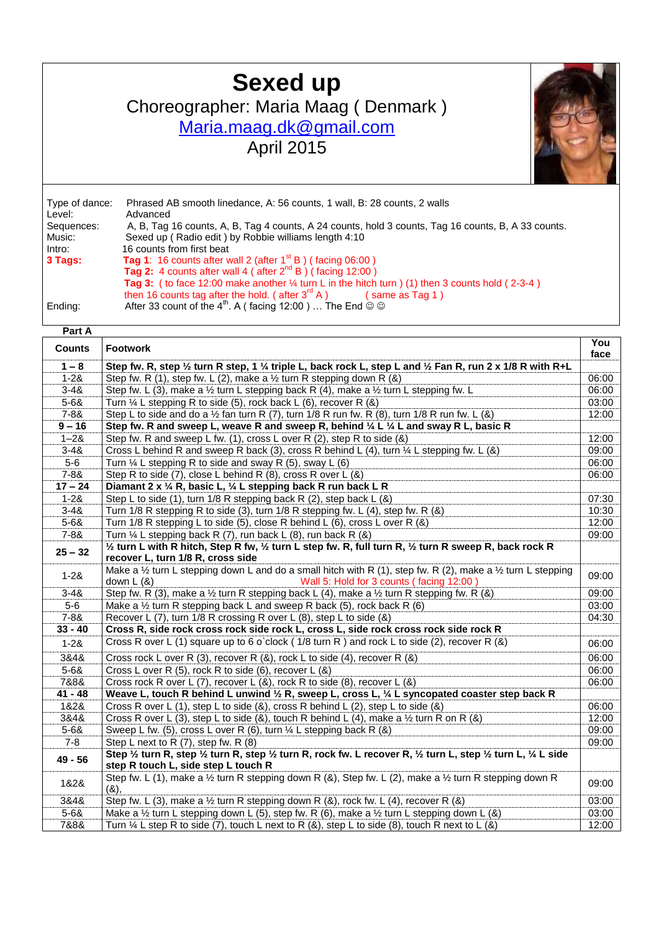## **Sexed up**

Choreographer: Maria Maag ( Denmark )

## [Maria.maag.dk@gmail.com](mailto:Maria.maag.dk@gmail.com)

April 2015



Type of dance: Phrased AB smooth linedance, A: 56 counts, 1 wall, B: 28 counts, 2 walls Advanced Sequences: A, B, Tag 16 counts, A, B, Tag 4 counts, A 24 counts, hold 3 counts, Tag 16 counts, B, A 33 counts.<br>Music: Sexed up (Radio edit) by Robbie williams length 4:10 Music: Sexed up ( Radio edit ) by Robbie williams length 4:10<br>Intro: 16 counts from first beat 16 counts from first beat **3 Tags: Tag 1**: 16 counts after wall 2 (after 1<sup>st</sup> B) (facing 06:00) **Tag 2:** 4 counts after wall 4 (after 2<sup>nd</sup> B) (facing 12:00) **Tag 3:** ( to face 12:00 make another ¼ turn L in the hitch turn ) (1) then 3 counts hold ( 2-3-4 ) then 16 counts tag after the hold. (after  $3^{rd} A$  ) (same as Tag 1) Ending: After 33 count of the 4<sup>th</sup>. A ( facing 12:00 ) ... The End  $\circledcirc$ 

| Part A        |                                                                                                                                                                                              |             |
|---------------|----------------------------------------------------------------------------------------------------------------------------------------------------------------------------------------------|-------------|
| <b>Counts</b> | <b>Footwork</b>                                                                                                                                                                              | You<br>face |
| $1 - 8$       | Step fw. R, step 1/2 turn R step, 1 1/4 triple L, back rock L, step L and 1/2 Fan R, run 2 x 1/8 R with R+L                                                                                  |             |
| $1 - 28$      | Step fw. R (1), step fw. L (2), make a $\frac{1}{2}$ turn R stepping down R (&)                                                                                                              | 06:00       |
| $3 - 48$      | Step fw. L (3), make a $\frac{1}{2}$ turn L stepping back R (4), make a $\frac{1}{2}$ turn L stepping fw. L                                                                                  | 06:00       |
| $5 - 68$      | Turn $\frac{1}{4}$ L stepping R to side (5), rock back L (6), recover R (8)                                                                                                                  | 03:00       |
| $7 - 88$      | Step L to side and do a $\frac{1}{2}$ fan turn R (7), turn 1/8 R run fw. R (8), turn 1/8 R run fw. L (&)                                                                                     | 12:00       |
| $9 - 16$      | Step fw. R and sweep L, weave R and sweep R, behind 1/4 L 1/4 L and sway R L, basic R                                                                                                        |             |
| $1 - 28$      | Step fw. R and sweep L fw. (1), cross L over R (2), step R to side (&)                                                                                                                       | 12:00       |
| $3 - 48$      | Cross L behind R and sweep R back (3), cross R behind L (4), turn $\frac{1}{4}$ L stepping fw. L (&)                                                                                         | 09:00       |
| $5-6$         | Turn $\frac{1}{4}$ L stepping R to side and sway R (5), sway L (6)                                                                                                                           | 06:00       |
| $7 - 88$      | Step R to side (7), close L behind R (8), cross R over L (&)                                                                                                                                 | 06:00       |
| $17 - 24$     | Diamant 2 x 1/4 R, basic L, 1/4 L stepping back R run back L R                                                                                                                               |             |
| $1 - 28$      | Step L to side (1), turn $1/8$ R stepping back R (2), step back L (&)                                                                                                                        | 07:30       |
| $3 - 48$      | Turn 1/8 R stepping R to side (3), turn 1/8 R stepping fw. L (4), step fw. R (&)                                                                                                             | 10:30       |
| $5 - 68$      | Turn 1/8 R stepping L to side (5), close R behind L (6), cross L over R (&)                                                                                                                  | 12:00       |
| $7 - 88$      | Turn $\frac{1}{4}$ L stepping back R (7), run back L (8), run back R (&)                                                                                                                     | 09:00       |
| $25 - 32$     | 1/2 turn L with R hitch, Step R fw, 1/2 turn L step fw. R, full turn R, 1/2 turn R sweep R, back rock R<br>recover L, turn 1/8 R, cross side                                                 |             |
| $1 - 28$      | Make a $\frac{1}{2}$ turn L stepping down L and do a small hitch with R (1), step fw. R (2), make a $\frac{1}{2}$ turn L stepping<br>Wall 5: Hold for 3 counts (facing 12:00)<br>down $L(8)$ | 09:00       |
| $3 - 48$      | Step fw. R (3), make a 1/2 turn R stepping back L (4), make a 1/2 turn R stepping fw. R (&)                                                                                                  | 09:00       |
| $5-6$         | Make a $\frac{1}{2}$ turn R stepping back L and sweep R back (5), rock back R (6)                                                                                                            | 03:00       |
| $7 - 88$      | Recover L (7), turn 1/8 R crossing R over L (8), step L to side (&)                                                                                                                          | 04:30       |
| $33 - 40$     | Cross R, side rock cross rock side rock L, cross L, side rock cross rock side rock R                                                                                                         |             |
| $1 - 28$      | Cross R over L (1) square up to 6 o'clock (1/8 turn R ) and rock L to side (2), recover R (&)                                                                                                | 06:00       |
| 3&4&          | Cross rock L over R (3), recover R (&), rock L to side (4), recover R (&)                                                                                                                    | 06:00       |
| $5 - 68$      | Cross L over R (5), rock R to side (6), recover L (&)                                                                                                                                        | 06:00       |
| 7&8&          | Cross rock R over L (7), recover L (8), rock R to side (8), recover L (8)                                                                                                                    | 06:00       |
| $41 - 48$     | Weave L, touch R behind L unwind $\frac{1}{2}$ R, sweep L, cross L, $\frac{1}{4}$ L syncopated coaster step back R                                                                           |             |
| 1&2&          | Cross R over L (1), step L to side (&), cross R behind L (2), step L to side (&)                                                                                                             | 06:00       |
| 3&4&          | Cross R over L (3), step L to side (&), touch R behind L (4), make a $\frac{1}{2}$ turn R on R (&)                                                                                           | 12:00       |
| $5 - 68$      | Sweep L fw. (5), cross L over R (6), turn 1/4 L stepping back R (&)                                                                                                                          | 09:00       |
| $7 - 8$       | Step L next to R $(7)$ , step fw. R $(8)$                                                                                                                                                    | 09:00       |
| $49 - 56$     | Step 1/2 turn R, step 1/2 turn R, step 1/2 turn R, rock fw. L recover R, 1/2 turn L, step 1/2 turn L, 1/4 L side<br>step R touch L, side step L touch R                                      |             |
| 1&2&          | Step fw. L (1), make a 1/2 turn R stepping down R (&), Step fw. L (2), make a 1/2 turn R stepping down R<br>$(8)$ .                                                                          | 09:00       |
| 3&4&          | Step fw. L (3), make a $\frac{1}{2}$ turn R stepping down R (&), rock fw. L (4), recover R (&)                                                                                               | 03:00       |
| $5 - 68$      | Make a $\frac{1}{2}$ turn L stepping down L (5), step fw. R (6), make a $\frac{1}{2}$ turn L stepping down L (&)                                                                             | 03:00       |
| 7&8&          | Turn $\frac{1}{4}$ L step R to side (7), touch L next to R (&), step L to side (8), touch R next to L (&)                                                                                    | 12:00       |